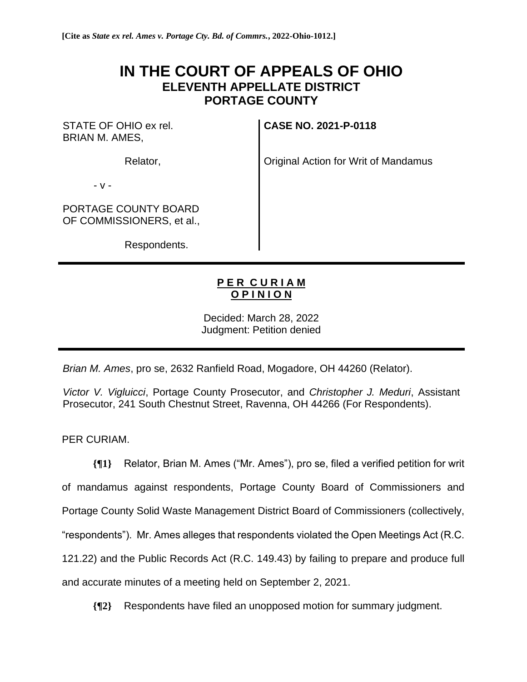# **IN THE COURT OF APPEALS OF OHIO ELEVENTH APPELLATE DISTRICT PORTAGE COUNTY**

STATE OF OHIO ex rel. BRIAN M. AMES,

**CASE NO. 2021-P-0118**

Relator,

Original Action for Writ of Mandamus

- v -

PORTAGE COUNTY BOARD OF COMMISSIONERS, et al.,

Respondents.

# **P E R C U R I A M O P I N I O N**

Decided: March 28, 2022 Judgment: Petition denied

*Brian M. Ames*, pro se, 2632 Ranfield Road, Mogadore, OH 44260 (Relator).

*Victor V. Vigluicci*, Portage County Prosecutor, and *Christopher J. Meduri*, Assistant Prosecutor, 241 South Chestnut Street, Ravenna, OH 44266 (For Respondents).

PER CURIAM.

**{¶1}** Relator, Brian M. Ames ("Mr. Ames"), pro se, filed a verified petition for writ of mandamus against respondents, Portage County Board of Commissioners and Portage County Solid Waste Management District Board of Commissioners (collectively, "respondents"). Mr. Ames alleges that respondents violated the Open Meetings Act (R.C. 121.22) and the Public Records Act (R.C. 149.43) by failing to prepare and produce full and accurate minutes of a meeting held on September 2, 2021.

**{¶2}** Respondents have filed an unopposed motion for summary judgment.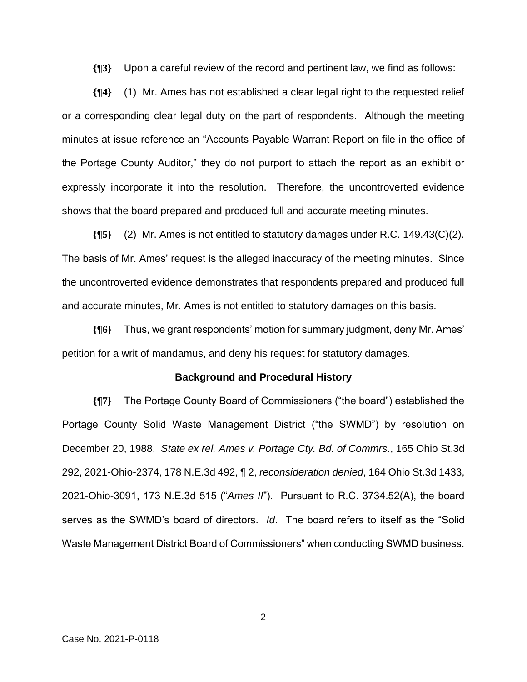**{¶3}** Upon a careful review of the record and pertinent law, we find as follows:

**{¶4}** (1) Mr. Ames has not established a clear legal right to the requested relief or a corresponding clear legal duty on the part of respondents. Although the meeting minutes at issue reference an "Accounts Payable Warrant Report on file in the office of the Portage County Auditor," they do not purport to attach the report as an exhibit or expressly incorporate it into the resolution. Therefore, the uncontroverted evidence shows that the board prepared and produced full and accurate meeting minutes.

**{¶5}** (2) Mr. Ames is not entitled to statutory damages under R.C. 149.43(C)(2). The basis of Mr. Ames' request is the alleged inaccuracy of the meeting minutes. Since the uncontroverted evidence demonstrates that respondents prepared and produced full and accurate minutes, Mr. Ames is not entitled to statutory damages on this basis.

**{¶6}** Thus, we grant respondents' motion for summary judgment, deny Mr. Ames' petition for a writ of mandamus, and deny his request for statutory damages.

#### **Background and Procedural History**

**{¶7}** The Portage County Board of Commissioners ("the board") established the Portage County Solid Waste Management District ("the SWMD") by resolution on December 20, 1988. *State ex rel. Ames v. Portage Cty. Bd. of Commrs*., 165 Ohio St.3d 292, 2021-Ohio-2374, 178 N.E.3d 492, ¶ 2, *reconsideration denied*, 164 Ohio St.3d 1433, 2021-Ohio-3091, 173 N.E.3d 515 ("*Ames II*"). Pursuant to R.C. 3734.52(A), the board serves as the SWMD's board of directors. *Id*. The board refers to itself as the "Solid Waste Management District Board of Commissioners" when conducting SWMD business.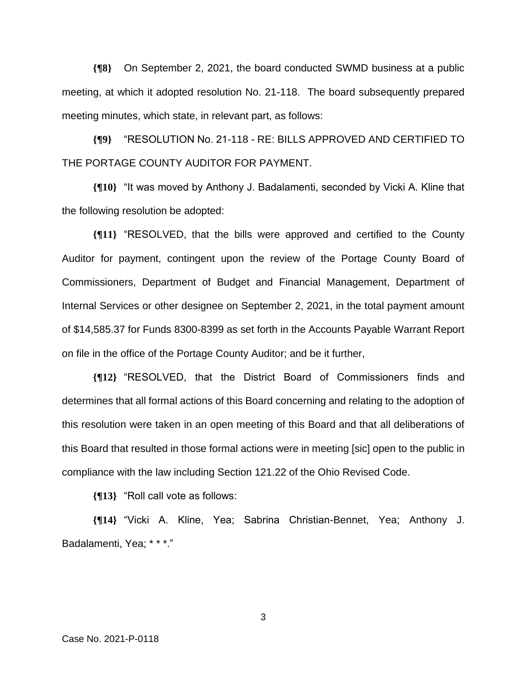**{¶8}** On September 2, 2021, the board conducted SWMD business at a public meeting, at which it adopted resolution No. 21-118. The board subsequently prepared meeting minutes, which state, in relevant part, as follows:

**{¶9}** "RESOLUTION No. 21-118 - RE: BILLS APPROVED AND CERTIFIED TO THE PORTAGE COUNTY AUDITOR FOR PAYMENT.

**{¶10}** "It was moved by Anthony J. Badalamenti, seconded by Vicki A. Kline that the following resolution be adopted:

**{¶11}** "RESOLVED, that the bills were approved and certified to the County Auditor for payment, contingent upon the review of the Portage County Board of Commissioners, Department of Budget and Financial Management, Department of Internal Services or other designee on September 2, 2021, in the total payment amount of \$14,585.37 for Funds 8300-8399 as set forth in the Accounts Payable Warrant Report on file in the office of the Portage County Auditor; and be it further,

**{¶12}** "RESOLVED, that the District Board of Commissioners finds and determines that all formal actions of this Board concerning and relating to the adoption of this resolution were taken in an open meeting of this Board and that all deliberations of this Board that resulted in those formal actions were in meeting [sic] open to the public in compliance with the law including Section 121.22 of the Ohio Revised Code.

**{¶13}** "Roll call vote as follows:

**{¶14}** "Vicki A. Kline, Yea; Sabrina Christian-Bennet, Yea; Anthony J. Badalamenti, Yea; \* \* \*."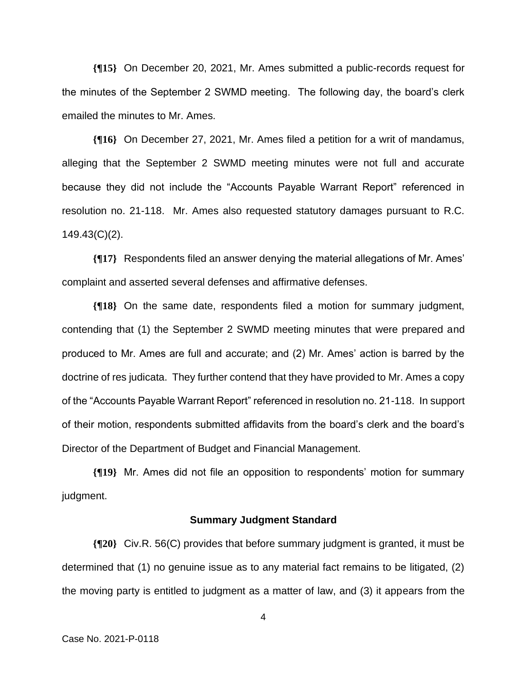**{¶15}** On December 20, 2021, Mr. Ames submitted a public-records request for the minutes of the September 2 SWMD meeting. The following day, the board's clerk emailed the minutes to Mr. Ames.

**{¶16}** On December 27, 2021, Mr. Ames filed a petition for a writ of mandamus, alleging that the September 2 SWMD meeting minutes were not full and accurate because they did not include the "Accounts Payable Warrant Report" referenced in resolution no. 21-118. Mr. Ames also requested statutory damages pursuant to R.C. 149.43(C)(2).

**{¶17}** Respondents filed an answer denying the material allegations of Mr. Ames' complaint and asserted several defenses and affirmative defenses.

**{¶18}** On the same date, respondents filed a motion for summary judgment, contending that (1) the September 2 SWMD meeting minutes that were prepared and produced to Mr. Ames are full and accurate; and (2) Mr. Ames' action is barred by the doctrine of res judicata. They further contend that they have provided to Mr. Ames a copy of the "Accounts Payable Warrant Report" referenced in resolution no. 21-118. In support of their motion, respondents submitted affidavits from the board's clerk and the board's Director of the Department of Budget and Financial Management.

**{¶19}** Mr. Ames did not file an opposition to respondents' motion for summary judgment.

#### **Summary Judgment Standard**

**{¶20}** Civ.R. 56(C) provides that before summary judgment is granted, it must be determined that (1) no genuine issue as to any material fact remains to be litigated, (2) the moving party is entitled to judgment as a matter of law, and (3) it appears from the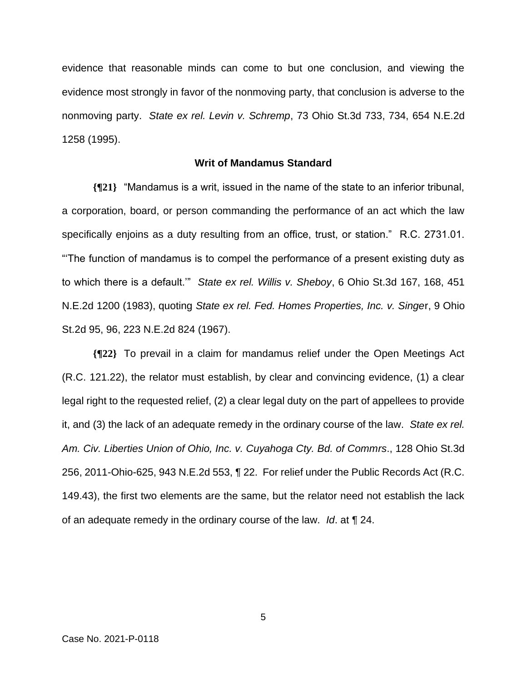evidence that reasonable minds can come to but one conclusion, and viewing the evidence most strongly in favor of the nonmoving party, that conclusion is adverse to the nonmoving party. *State ex rel. Levin v. Schremp*, 73 Ohio St.3d 733, 734, 654 N.E.2d 1258 (1995).

## **Writ of Mandamus Standard**

**{¶21}** "Mandamus is a writ, issued in the name of the state to an inferior tribunal, a corporation, board, or person commanding the performance of an act which the law specifically enjoins as a duty resulting from an office, trust, or station." R.C. 2731.01. "'The function of mandamus is to compel the performance of a present existing duty as to which there is a default.'" *State ex rel. Willis v. Sheboy*, 6 Ohio St.3d 167, 168, 451 N.E.2d 1200 (1983), quoting *State ex rel. Fed. Homes Properties, Inc. v. Singe*r, 9 Ohio St.2d 95, 96, 223 N.E.2d 824 (1967).

**{¶22}** To prevail in a claim for mandamus relief under the Open Meetings Act (R.C. 121.22), the relator must establish, by clear and convincing evidence, (1) a clear legal right to the requested relief, (2) a clear legal duty on the part of appellees to provide it, and (3) the lack of an adequate remedy in the ordinary course of the law. *State ex rel. Am. Civ. Liberties Union of Ohio, Inc. v. Cuyahoga Cty. Bd. of Commrs*., 128 Ohio St.3d 256, 2011-Ohio-625, 943 N.E.2d 553, ¶ 22. For relief under the Public Records Act (R.C. 149.43), the first two elements are the same, but the relator need not establish the lack of an adequate remedy in the ordinary course of the law. *Id*. at ¶ 24.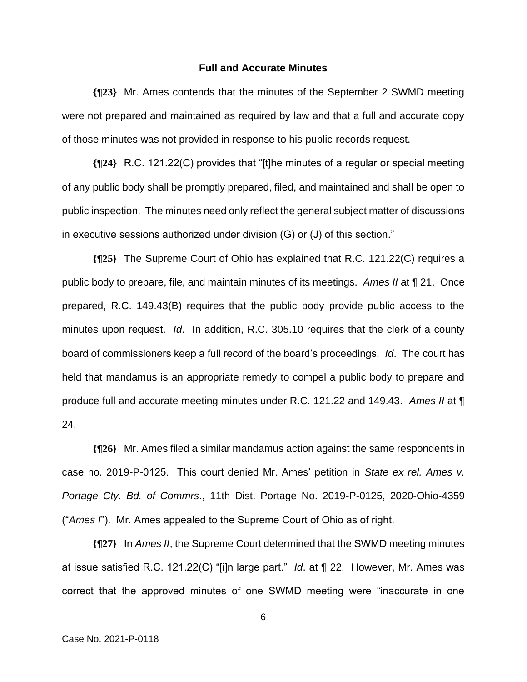### **Full and Accurate Minutes**

**{¶23}** Mr. Ames contends that the minutes of the September 2 SWMD meeting were not prepared and maintained as required by law and that a full and accurate copy of those minutes was not provided in response to his public-records request.

**{¶24}** R.C. 121.22(C) provides that "[t]he minutes of a regular or special meeting of any public body shall be promptly prepared, filed, and maintained and shall be open to public inspection. The minutes need only reflect the general subject matter of discussions in executive sessions authorized under division (G) or (J) of this section."

**{¶25}** The Supreme Court of Ohio has explained that R.C. 121.22(C) requires a public body to prepare, file, and maintain minutes of its meetings. *Ames II* at ¶ 21. Once prepared, R.C. 149.43(B) requires that the public body provide public access to the minutes upon request. *Id*. In addition, R.C. 305.10 requires that the clerk of a county board of commissioners keep a full record of the board's proceedings. *Id*. The court has held that mandamus is an appropriate remedy to compel a public body to prepare and produce full and accurate meeting minutes under R.C. 121.22 and 149.43. *Ames II* at ¶ 24.

**{¶26}** Mr. Ames filed a similar mandamus action against the same respondents in case no. 2019-P-0125. This court denied Mr. Ames' petition in *State ex rel. Ames v. Portage Cty. Bd. of Commrs*., 11th Dist. Portage No. 2019-P-0125, 2020-Ohio-4359 ("*Ames I*"). Mr. Ames appealed to the Supreme Court of Ohio as of right.

**{¶27}** In *Ames II*, the Supreme Court determined that the SWMD meeting minutes at issue satisfied R.C. 121.22(C) "[i]n large part." *Id*. at ¶ 22. However, Mr. Ames was correct that the approved minutes of one SWMD meeting were "inaccurate in one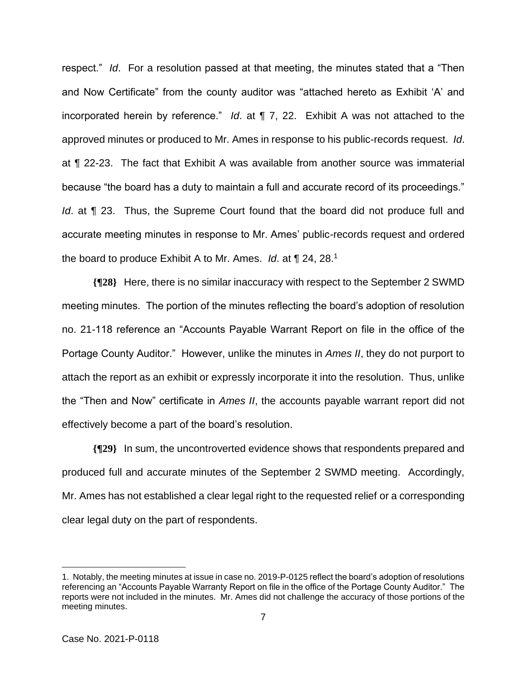respect." *Id*. For a resolution passed at that meeting, the minutes stated that a "Then and Now Certificate" from the county auditor was "attached hereto as Exhibit 'A' and incorporated herein by reference." *Id*. at ¶ 7, 22. Exhibit A was not attached to the approved minutes or produced to Mr. Ames in response to his public-records request. *Id*. at ¶ 22-23. The fact that Exhibit A was available from another source was immaterial because "the board has a duty to maintain a full and accurate record of its proceedings." *Id*. at ¶ 23. Thus, the Supreme Court found that the board did not produce full and accurate meeting minutes in response to Mr. Ames' public-records request and ordered the board to produce Exhibit A to Mr. Ames. *Id*. at ¶ 24, 28.<sup>1</sup>

**{¶28}** Here, there is no similar inaccuracy with respect to the September 2 SWMD meeting minutes. The portion of the minutes reflecting the board's adoption of resolution no. 21-118 reference an "Accounts Payable Warrant Report on file in the office of the Portage County Auditor." However, unlike the minutes in *Ames II*, they do not purport to attach the report as an exhibit or expressly incorporate it into the resolution. Thus, unlike the "Then and Now" certificate in *Ames II*, the accounts payable warrant report did not effectively become a part of the board's resolution.

**{¶29}** In sum, the uncontroverted evidence shows that respondents prepared and produced full and accurate minutes of the September 2 SWMD meeting. Accordingly, Mr. Ames has not established a clear legal right to the requested relief or a corresponding clear legal duty on the part of respondents.

<sup>1.</sup> Notably, the meeting minutes at issue in case no. 2019-P-0125 reflect the board's adoption of resolutions referencing an "Accounts Payable Warranty Report on file in the office of the Portage County Auditor." The reports were not included in the minutes. Mr. Ames did not challenge the accuracy of those portions of the meeting minutes.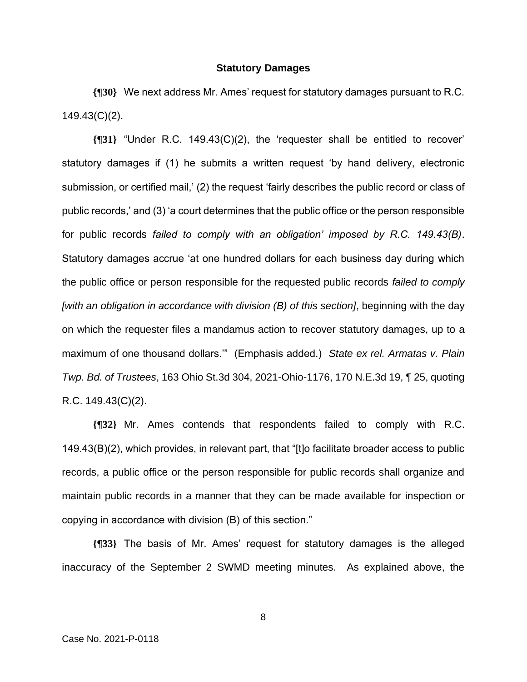#### **Statutory Damages**

**{¶30}** We next address Mr. Ames' request for statutory damages pursuant to R.C. 149.43(C)(2).

**{¶31}** "Under R.C. 149.43(C)(2), the 'requester shall be entitled to recover' statutory damages if (1) he submits a written request 'by hand delivery, electronic submission, or certified mail,' (2) the request 'fairly describes the public record or class of public records,' and (3) 'a court determines that the public office or the person responsible for public records *failed to comply with an obligation' imposed by R.C. 149.43(B)*. Statutory damages accrue 'at one hundred dollars for each business day during which the public office or person responsible for the requested public records *failed to comply [with an obligation in accordance with division (B) of this section]*, beginning with the day on which the requester files a mandamus action to recover statutory damages, up to a maximum of one thousand dollars.'" (Emphasis added.) *State ex rel. Armatas v. Plain Twp. Bd. of Trustees*, 163 Ohio St.3d 304, 2021-Ohio-1176, 170 N.E.3d 19, ¶ 25, quoting R.C. 149.43(C)(2).

**{¶32}** Mr. Ames contends that respondents failed to comply with R.C. 149.43(B)(2), which provides, in relevant part, that "[t]o facilitate broader access to public records, a public office or the person responsible for public records shall organize and maintain public records in a manner that they can be made available for inspection or copying in accordance with division (B) of this section."

**{¶33}** The basis of Mr. Ames' request for statutory damages is the alleged inaccuracy of the September 2 SWMD meeting minutes. As explained above, the